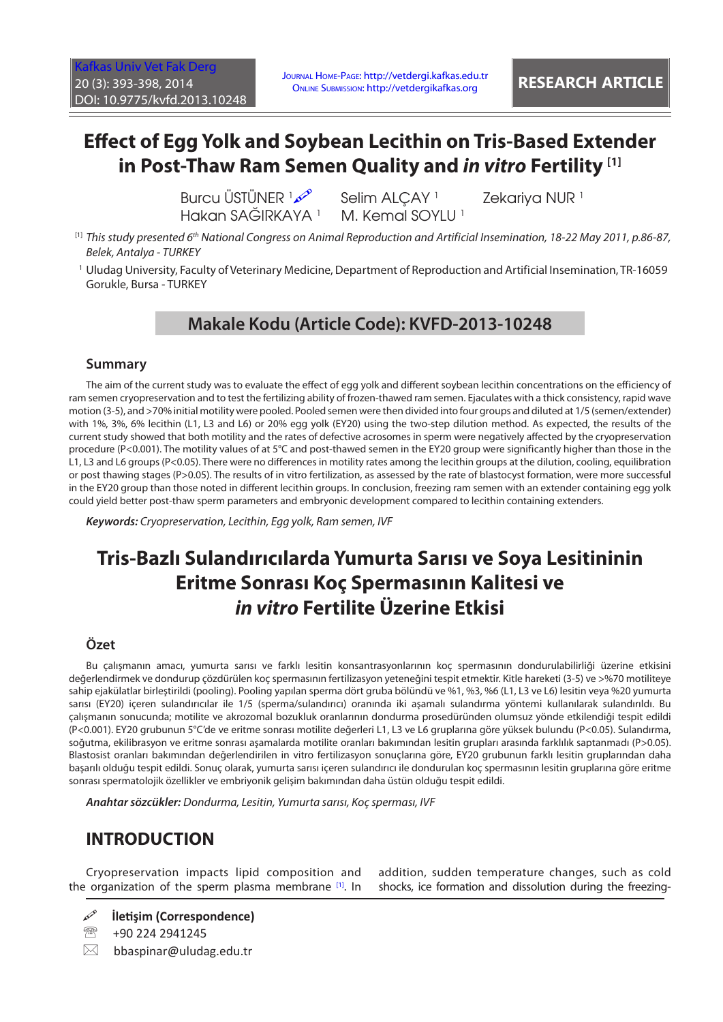# **Effect of Egg Yolk and Soybean Lecithin on Tris-Based Extender in Post-Thaw Ram Semen Quality and** *in vitro* **Fertility [1]**

**Burcu ÜSTÜNER**  Hakan SAĞIRKAYA <sup>1</sup> Selim ALCAY<sup>1</sup> M. Kemal SOYLU<sup>1</sup> Zekariya NUR<sup>1</sup>

- [1] *This study presented 6th National Congress on Animal Reproduction and Artificial Insemination, 18-22 May 2011, p.86-87, Belek, Antalya - TURKEY*
- 1 Uludag University, Faculty of Veterinary Medicine, Department of Reproduction and Artificial Insemination, TR-16059 Gorukle, Bursa - TURKEY

# **Makale Kodu (Article Code): KVFD-2013-10248**

#### **Summary**

The aim of the current study was to evaluate the effect of egg yolk and different soybean lecithin concentrations on the efficiency of ram semen cryopreservation and to test the fertilizing ability of frozen-thawed ram semen. Ejaculates with a thick consistency, rapid wave motion (3-5), and >70% initial motility were pooled. Pooled semen were then divided into four groups and diluted at 1/5 (semen/extender) with 1%, 3%, 6% lecithin (L1, L3 and L6) or 20% egg yolk (EY20) using the two-step dilution method. As expected, the results of the current study showed that both motility and the rates of defective acrosomes in sperm were negatively affected by the cryopreservation procedure (P<0.001). The motility values of at 5°C and post-thawed semen in the EY20 group were significantly higher than those in the L1, L3 and L6 groups (P<0.05). There were no differences in motility rates among the lecithin groups at the dilution, cooling, equilibration or post thawing stages (P>0.05). The results of in vitro fertilization, as assessed by the rate of blastocyst formation, were more successful in the EY20 group than those noted in different lecithin groups. In conclusion, freezing ram semen with an extender containing egg yolk could yield better post-thaw sperm parameters and embryonic development compared to lecithin containing extenders.

*Keywords: Cryopreservation, Lecithin, Egg yolk, Ram semen, IVF*

# **Tris-Bazlı Sulandırıcılarda Yumurta Sarısı ve Soya Lesitininin Eritme Sonrası Koç Spermasının Kalitesi ve**  *in vitro* **Fertilite Üzerine Etkisi**

### **Özet**

Bu çalışmanın amacı, yumurta sarısı ve farklı lesitin konsantrasyonlarının koç spermasının dondurulabilirliği üzerine etkisini değerlendirmek ve dondurup çözdürülen koç spermasının fertilizasyon yeteneğini tespit etmektir. Kitle hareketi (3-5) ve >%70 motiliteye sahip ejakülatlar birleştirildi (pooling). Pooling yapılan sperma dört gruba bölündü ve %1, %3, %6 (L1, L3 ve L6) lesitin veya %20 yumurta sarısı (EY20) içeren sulandırıcılar ile 1/5 (sperma/sulandırıcı) oranında iki aşamalı sulandırma yöntemi kullanılarak sulandırıldı. Bu çalışmanın sonucunda; motilite ve akrozomal bozukluk oranlarının dondurma prosedüründen olumsuz yönde etkilendiği tespit edildi (P<0.001). EY20 grubunun 5°C'de ve eritme sonrası motilite değerleri L1, L3 ve L6 gruplarına göre yüksek bulundu (P<0.05). Sulandırma, soğutma, ekilibrasyon ve eritme sonrası aşamalarda motilite oranları bakımından lesitin grupları arasında farklılık saptanmadı (P>0.05). Blastosist oranları bakımından değerlendirilen in vitro fertilizasyon sonuçlarına göre, EY20 grubunun farklı lesitin gruplarından daha başarılı olduğu tespit edildi. Sonuç olarak, yumurta sarısı içeren sulandırıcı ile dondurulan koç spermasının lesitin gruplarına göre eritme sonrası spermatolojik özellikler ve embriyonik gelişim bakımından daha üstün olduğu tespit edildi.

*Anahtar sözcükler: Dondurma, Lesitin, Yumurta sarısı, Koç sperması, IVF*

## **INTRODUCTION**

Cryopreservation impacts lipid composition and the organization of the sperm plasma membrane [[1\].](#page-4-0) In

addition, sudden temperature changes, such as cold shocks, ice formation and dissolution during the freezing-

- **İletişim (Correspondence)**
- <sup>2</sup> +90 224 2941245
- $\boxtimes$  bbaspinar@uludag.edu.tr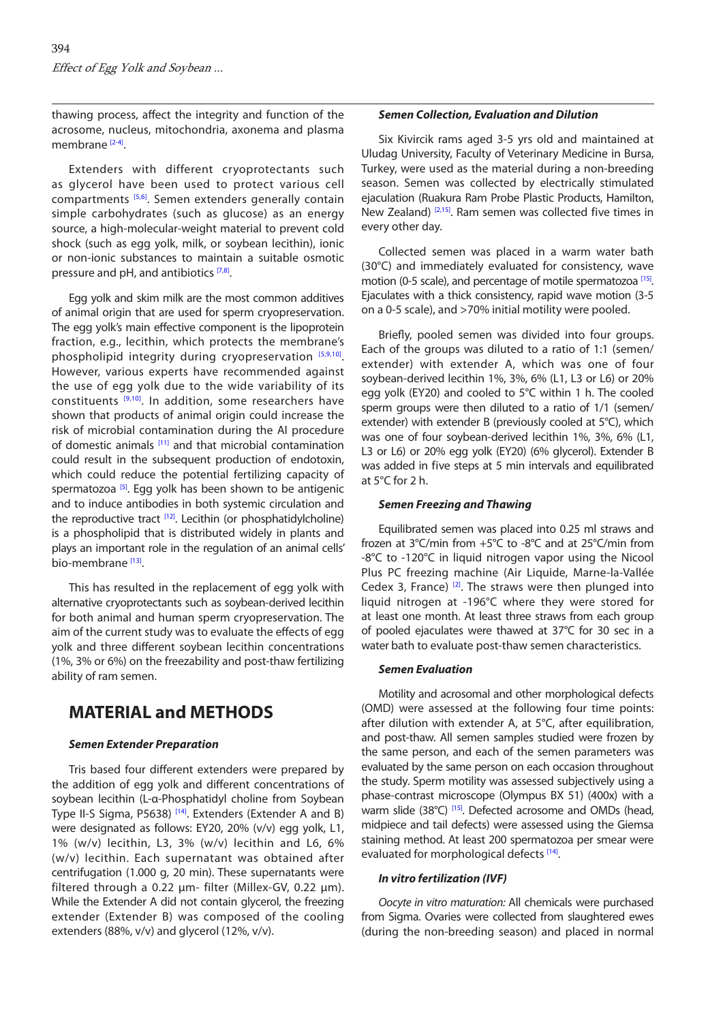thawing process, affect the integrity and function of the acrosome, nucleus, mitochondria, axonema and plasma membrane [\[2-4\].](#page-4-0)

Extenders with different cryoprotectants such as glycerol have been used to protect various cell compartments [[5,6\].](#page-4-0) Semen extenders generally contain simple carbohydrates (such as glucose) as an energy source, a high-molecular-weight material to prevent cold shock (such as egg yolk, milk, or soybean lecithin), ionic or non-ionic substances to maintain a suitable osmotic pressure and pH, and antibiotics [\[7,8\].](#page-4-0)

Egg yolk and skim milk are the most common additives of animal origin that are used for sperm cryopreservation. The egg yolk's main effective component is the lipoprotein fraction, e.g., lecithin, which protects the membrane's phospholipid integrity during cryopreservation [\[5,9,10\].](#page-4-0) However, various experts have recommended against the use of egg yolk due to the wide variability of its constituents [[9,10\].](#page-4-0) In addition, some researchers have shown that products of animal origin could increase the risk of microbial contamination during the AI procedure of domestic animals [[11\]](#page-5-0) and that microbial contamination could result in the subsequent production of endotoxin, which could reduce the potential fertilizing capacity of spermatozoa  $[5]$ . Egg yolk has been shown to be antigenic and to induce antibodies in both systemic circulation and the reproductive tract <sup>[12]</sup>. Lecithin (or phosphatidylcholine) is a phospholipid that is distributed widely in plants and plays an important role in the regulation of an animal cells' bio-membrane<sup>[13]</sup>.

This has resulted in the replacement of egg yolk with alternative cryoprotectants such as soybean-derived lecithin for both animal and human sperm cryopreservation. The aim of the current study was to evaluate the effects of egg yolk and three different soybean lecithin concentrations (1%, 3% or 6%) on the freezability and post-thaw fertilizing ability of ram semen.

## **MATERIAL and METHODS**

#### *Semen Extender Preparation*

Tris based four different extenders were prepared by the addition of egg yolk and different concentrations of soybean lecithin (L-α-Phosphatidyl choline from Soybean Type II-S Sigma, P5638)<sup>[14]</sup>. Extenders (Extender A and B) were designated as follows: EY20, 20% (v/v) egg yolk, L1, 1% (w/v) lecithin, L3, 3% (w/v) lecithin and L6, 6% (w/v) lecithin. Each supernatant was obtained after centrifugation (1.000 g, 20 min). These supernatants were filtered through a 0.22  $\mu$ m- filter (Millex-GV, 0.22  $\mu$ m). While the Extender A did not contain glycerol, the freezing extender (Extender B) was composed of the cooling extenders (88%, v/v) and glycerol (12%, v/v).

#### *Semen Collection, Evaluation and Dilution*

Six Kivircik rams aged 3-5 yrs old and maintained at Uludag University, Faculty of Veterinary Medicine in Bursa, Turkey, were used as the material during a non-breeding season. Semen was collected by electrically stimulated ejaculation (Ruakura Ram Probe Plastic Products, Hamilton, New Zealand) [[2,](#page-4-0)[15\].](#page-5-0) Ram semen was collected five times in every other day.

Collected semen was placed in a warm water bath (30°C) and immediately evaluated for consistency, wave motion (0-5 scale), and percentage of motile spermatozoa<sup>[15]</sup>. Ejaculates with a thick consistency, rapid wave motion (3-5 on a 0-5 scale), and >70% initial motility were pooled.

Briefly, pooled semen was divided into four groups. Each of the groups was diluted to a ratio of 1:1 (semen/ extender) with extender A, which was one of four soybean-derived lecithin 1%, 3%, 6% (L1, L3 or L6) or 20% egg yolk (EY20) and cooled to 5°C within 1 h. The cooled sperm groups were then diluted to a ratio of 1/1 (semen/ extender) with extender B (previously cooled at 5°C), which was one of four soybean-derived lecithin 1%, 3%, 6% (L1, L3 or L6) or 20% egg yolk (EY20) (6% glycerol). Extender B was added in five steps at 5 min intervals and equilibrated at 5°C for 2 h.

#### *Semen Freezing and Thawing*

Equilibrated semen was placed into 0.25 ml straws and frozen at 3°C/min from +5°C to -8°C and at 25°C/min from -8°C to -120°C in liquid nitrogen vapor using the Nicool Plus PC freezing machine (Air Liquide, Marne-la-Vallée Cedex 3, France)  $[2]$ . The straws were then plunged into liquid nitrogen at -196°C where they were stored for at least one month. At least three straws from each group of pooled ejaculates were thawed at 37°C for 30 sec in a water bath to evaluate post-thaw semen characteristics.

#### *Semen Evaluation*

Motility and acrosomal and other morphological defects (OMD) were assessed at the following four time points: after dilution with extender A, at 5°C, after equilibration, and post-thaw. All semen samples studied were frozen by the same person, and each of the semen parameters was evaluated by the same person on each occasion throughout the study. Sperm motility was assessed subjectively using a phase-contrast microscope (Olympus BX 51) (400x) with a warm slide (38°C) <sup>[15]</sup>. Defected acrosome and OMDs (head, midpiece and tail defects) were assessed using the Giemsa staining method. At least 200 spermatozoa per smear were evaluated for morphological defects [14].

#### *In vitro fertilization (IVF)*

*Oocyte in vitro maturation:* All chemicals were purchased from Sigma. Ovaries were collected from slaughtered ewes (during the non-breeding season) and placed in normal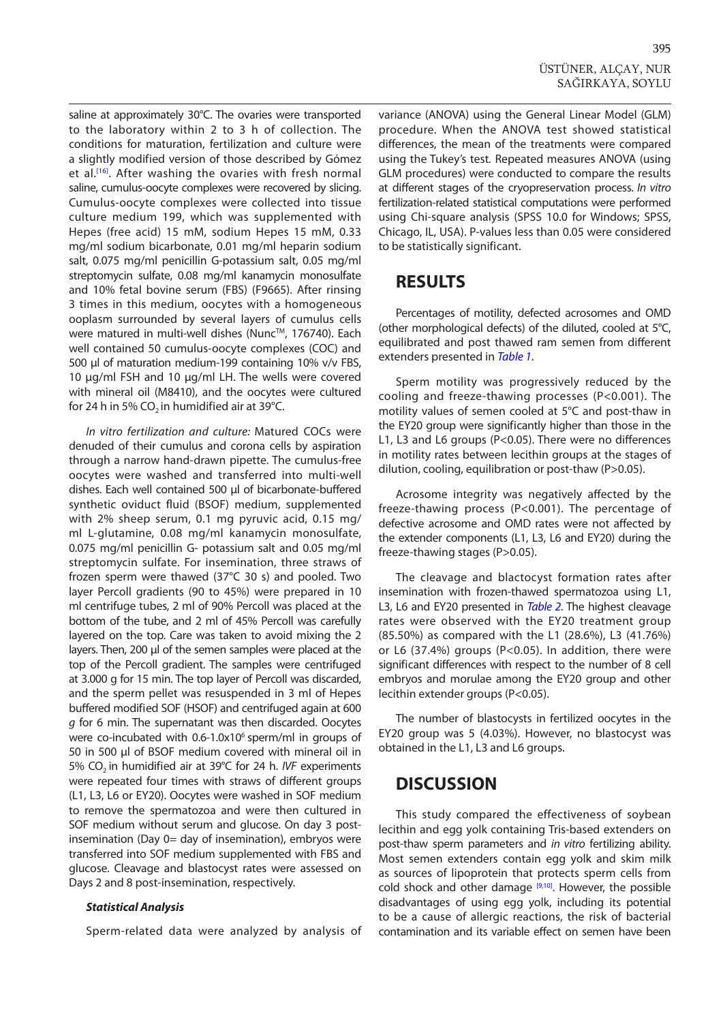saline at approximately 30°C. The ovaries were transported to the laboratory within 2 to 3 h of collection. The conditions for maturation, fertilization and culture were a slightly modified version of those described by Gόmez et al.<sup>[16]</sup>. After washing the ovaries with fresh normal saline, cumulus-oocyte complexes were recovered by slicing. Cumulus-oocyte complexes were collected into tissue culture medium 199, which was supplemented with Hepes (free acid) 15 mM, sodium Hepes 15 mM, 0.33 mg/ml sodium bicarbonate, 0.01 mg/ml heparin sodium salt, 0.075 mg/ml penicillin G-potassium salt, 0.05 mg/ml streptomycin sulfate, 0.08 mg/ml kanamycin monosulfate and 10% fetal bovine serum (FBS) (F9665). After rinsing 3 times in this medium, oocytes with a homogeneous ooplasm surrounded by several layers of cumulus cells were matured in multi-well dishes (Nunc™, 176740). Each well contained 50 cumulus-oocyte complexes (COC) and 500 μl of maturation medium-199 containing 10% v/v FBS, 10 μg/ml FSH and 10 μg/ml LH. The wells were covered with mineral oil (M8410), and the oocytes were cultured for 24 h in 5% CO<sub>2</sub> in humidified air at 39°C.

*In vitro fertilization and culture:* Matured COCs were denuded of their cumulus and corona cells by aspiration through a narrow hand-drawn pipette. The cumulus-free oocytes were washed and transferred into multi-well dishes. Each well contained 500 μl of bicarbonate-buffered synthetic oviduct fluid (BSOF) medium, supplemented with 2% sheep serum, 0.1 mg pyruvic acid, 0.15 mg/ ml L-glutamine, 0.08 mg/ml kanamycin monosulfate, 0.075 mg/ml penicillin G- potassium salt and 0.05 mg/ml streptomycin sulfate. For insemination, three straws of frozen sperm were thawed (37°C 30 s) and pooled. Two layer Percoll gradients (90 to 45%) were prepared in 10 ml centrifuge tubes, 2 ml of 90% Percoll was placed at the bottom of the tube, and 2 ml of 45% Percoll was carefully layered on the top. Care was taken to avoid mixing the 2 layers. Then, 200 μl of the semen samples were placed at the top of the Percoll gradient. The samples were centrifuged at 3.000 g for 15 min. The top layer of Percoll was discarded, and the sperm pellet was resuspended in 3 ml of Hepes buffered modified SOF (HSOF) and centrifuged again at 600 *g* for 6 min. The supernatant was then discarded. Oocytes were co-incubated with 0.6-1.0x10<sup>6</sup> sperm/ml in groups of 50 in 500 μl of BSOF medium covered with mineral oil in 5% CO<sub>2</sub> in humidified air at 39°C for 24 h. *IVF* experiments were repeated four times with straws of different groups (L1, L3, L6 or EY20). Oocytes were washed in SOF medium to remove the spermatozoa and were then cultured in SOF medium without serum and glucose. On day 3 postinsemination (Day 0= day of insemination), embryos were transferred into SOF medium supplemented with FBS and glucose. Cleavage and blastocyst rates were assessed on Days 2 and 8 post-insemination, respectively.

#### *Statistical Analysis*

Sperm-related data were analyzed by analysis of

variance (ANOVA) using the General Linear Model (GLM) procedure. When the ANOVA test showed statistical differences, the mean of the treatments were compared using the Tukey's test*.* Repeated measures ANOVA (using GLM procedures) were conducted to compare the results at different stages of the cryopreservation process. *In vitro* fertilization-related statistical computations were performed using Chi-square analysis (SPSS 10.0 for Windows; SPSS, Chicago, IL, USA). P-values less than 0.05 were considered to be statistically significant.

## **RESULTS**

Percentages of motility, defected acrosomes and OMD (other morphological defects) of the diluted, cooled at 5°C, equilibrated and post thawed ram semen from different extenders presented in *[Table 1](#page-3-0)*.

Sperm motility was progressively reduced by the cooling and freeze-thawing processes (P<0.001). The motility values of semen cooled at 5°C and post-thaw in the EY20 group were significantly higher than those in the L1, L3 and L6 groups (P<0.05). There were no differences in motility rates between lecithin groups at the stages of dilution, cooling, equilibration or post-thaw (P>0.05).

Acrosome integrity was negatively affected by the freeze-thawing process (P<0.001). The percentage of defective acrosome and OMD rates were not affected by the extender components (L1, L3, L6 and EY20) during the freeze-thawing stages (P>0.05).

The cleavage and blactocyst formation rates after insemination with frozen-thawed spermatozoa using L1, L3, L6 and EY20 presented in *[Table 2](#page-3-0)*. The highest cleavage rates were observed with the EY20 treatment group (85.50%) as compared with the L1 (28.6%), L3 (41.76%) or L6 (37.4%) groups (P<0.05). In addition, there were significant differences with respect to the number of 8 cell embryos and morulae among the EY20 group and other lecithin extender groups (P<0.05).

The number of blastocysts in fertilized oocytes in the EY20 group was 5 (4.03%). However, no blastocyst was obtained in the L1, L3 and L6 groups.

## **DISCUSSION**

This study compared the effectiveness of soybean lecithin and egg yolk containing Tris-based extenders on post-thaw sperm parameters and *in vitro* fertilizing ability. Most semen extenders contain egg yolk and skim milk as sources of lipoprotein that protects sperm cells from cold shock and other damage  $[9,10]$ . However, the possible disadvantages of using egg yolk, including its potential to be a cause of allergic reactions, the risk of bacterial contamination and its variable effect on semen have been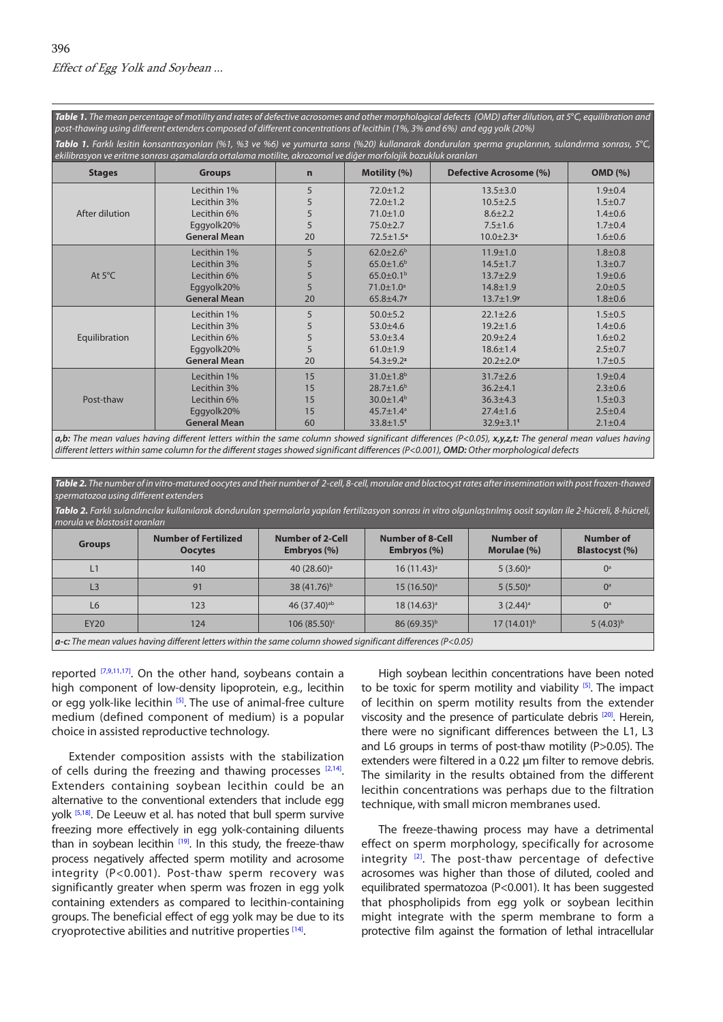<span id="page-3-0"></span>*Table 1. The mean percentage of motility and rates of defective acrosomes and other morphological defects (OMD) after dilution, at 5*°*C, equilibration and post-thawing using different extenders composed of different concentrations of lecithin (1%, 3% and 6%) and egg yolk (20%)*

| <b>Tablo 1.</b> Farklı lesitin konsantrasyonları (%1, %3 ve %6) ve yumurta sarısı (%20) kullanarak dondurulan sperma gruplarının, sulandırma sonrası, 5°C,<br>ekilibrasyon ve eritme sonrası aşamalarda ortalama motilite, akrozomal ve diğer morfolojik bozukluk oranları |                     |    |                             |                               |                |
|----------------------------------------------------------------------------------------------------------------------------------------------------------------------------------------------------------------------------------------------------------------------------|---------------------|----|-----------------------------|-------------------------------|----------------|
| <b>Stages</b>                                                                                                                                                                                                                                                              | <b>Groups</b>       | n  | Motility (%)                | <b>Defective Acrosome (%)</b> | <b>OMD</b> (%) |
| After dilution                                                                                                                                                                                                                                                             | Lecithin 1%         | 5  | $72.0 \pm 1.2$              | $13.5 \pm 3.0$                | $1.9 + 0.4$    |
|                                                                                                                                                                                                                                                                            | Lecithin 3%         | 5  | $72.0 \pm 1.2$              | $10.5 \pm 2.5$                | $1.5 \pm 0.7$  |
|                                                                                                                                                                                                                                                                            | Lecithin 6%         | 5  | $71.0 \pm 1.0$              | $8.6 \pm 2.2$                 | $1.4 \pm 0.6$  |
|                                                                                                                                                                                                                                                                            | Eggyolk20%          | 5  | $75.0 \pm 2.7$              | $7.5 \pm 1.6$                 | $1.7 + 0.4$    |
|                                                                                                                                                                                                                                                                            | <b>General Mean</b> | 20 | $72.5 \pm 1.5^x$            | $10.0 \pm 2.3$ <sup>x</sup>   | $1.6 \pm 0.6$  |
| At $5^{\circ}$ C                                                                                                                                                                                                                                                           | Lecithin 1%         | 5  | $62.0 \pm 2.6^{\circ}$      | $11.9 \pm 1.0$                | $1.8 + 0.8$    |
|                                                                                                                                                                                                                                                                            | Lecithin 3%         | 5  | $65.0 \pm 1.6^b$            | $14.5 \pm 1.7$                | $1.3 + 0.7$    |
|                                                                                                                                                                                                                                                                            | Lecithin 6%         | 5  | $65.0 \pm 0.1^{\rm b}$      | $13.7 + 2.9$                  | $1.9 + 0.6$    |
|                                                                                                                                                                                                                                                                            | Eggyolk20%          | 5  | $71.0 \pm 1.0^a$            | $14.8 \pm 1.9$                | $2.0 \pm 0.5$  |
|                                                                                                                                                                                                                                                                            | <b>General Mean</b> | 20 | $65.8 + 4.7$                | $13.7 \pm 1.9$ <sup>y</sup>   | $1.8 + 0.6$    |
| Equilibration                                                                                                                                                                                                                                                              | Lecithin 1%         | 5  | $50.0 \pm 5.2$              | $22.1 \pm 2.6$                | $1.5 \pm 0.5$  |
|                                                                                                                                                                                                                                                                            | Lecithin 3%         | 5  | $53.0 + 4.6$                | $19.2 \pm 1.6$                | $1.4 \pm 0.6$  |
|                                                                                                                                                                                                                                                                            | Lecithin 6%         | 5  | $53.0 + 3.4$                | $20.9 + 2.4$                  | $1.6 \pm 0.2$  |
|                                                                                                                                                                                                                                                                            | Eggyolk20%          | 5  | $61.0 \pm 1.9$              | $18.6 \pm 1.4$                | $2.5 \pm 0.7$  |
|                                                                                                                                                                                                                                                                            | <b>General Mean</b> | 20 | $54.3 \pm 9.2$ <sup>z</sup> | $20.2 \pm 2.0$ <sup>z</sup>   | $1.7 + 0.5$    |
| Post-thaw                                                                                                                                                                                                                                                                  | Lecithin 1%         | 15 | $31.0 \pm 1.8$ <sup>b</sup> | $31.7 \pm 2.6$                | $1.9 + 0.4$    |
|                                                                                                                                                                                                                                                                            | Lecithin 3%         | 15 | $28.7 \pm 1.6^b$            | $36.2 \pm 4.1$                | $2.3 \pm 0.6$  |
|                                                                                                                                                                                                                                                                            | Lecithin 6%         | 15 | $30.0 \pm 1.4^{\circ}$      | $36.3 \pm 4.3$                | $1.5 \pm 0.3$  |
|                                                                                                                                                                                                                                                                            | Eggyolk20%          | 15 | $45.7 \pm 1.4^a$            | $27.4 \pm 1.6$                | $2.5 \pm 0.4$  |
|                                                                                                                                                                                                                                                                            | <b>General Mean</b> | 60 | $33.8 \pm 1.5$ <sup>t</sup> | $32.9 \pm 3.1$ <sup>t</sup>   | $2.1 \pm 0.4$  |

*a,b: The mean values having different letters within the same column showed significant differences (P<0.05), x,y,z,t: The general mean values having different letters within same column for the different stages showed significant differences (P<0.001), OMD: Other morphological defects*

*Table 2. The number of in vitro-matured oocytes and their number of 2-cell, 8-cell, morulae and blactocyst rates after insemination with post frozen-thawed spermatozoa using different extenders* Tablo 2. Farklı sulandırıcılar kullanılarak dondurulan spermalarla yapılan fertilizasyon sonrası in vitro olgunlaştırılmış oosit sayıları ile 2-hücreli, 8-hücreli, *morula ve blastosist oranları* **Groups Number of Fertilized Oocytes Number of 2-Cell Embryos (%) Number of 8-Cell Embryos (%) Number of Morulae (%) Number of Blastocyst (%)**  $\mathsf{L1} \qquad \qquad \mathsf{140} \qquad \qquad \mathsf{140} \qquad \qquad \mathsf{40} \, (28.60)^{\mathsf{a}} \qquad \qquad \mathsf{16} \, (11.43)^{\mathsf{a}} \qquad \qquad \mathsf{5} \, (3.60)^{\mathsf{a}} \qquad \qquad \mathsf{0}^{\mathsf{a}}$  ${\sf L3}$   $\begin{array}{|l|c|c|c|c|c|}\hline \rule{0.2cm}{1.1cm} & & & \end{array} \begin{array}{|c|c|c|c|c|c|}\hline & & & & \end{array} \begin{array}{|c|c|c|c|c|}\hline & & & & \end{array} \begin{array}{|c|c|c|c|c|}\hline & & & & \end{array} \begin{array}{|c|c|c|c|c|}\hline & & & & \end{array} \begin{array}{|c|c|c|c|c|}\hline & & & & \end{array} \begin{array}{|c|c|c|c|c|}\hline & & & & \end{array}$  ${\sf L6}$   ${\sf l}$  123  ${\sf l}$  46 (37.40)<sup>ab</sup>  ${\sf l}$  18 (14.63)<sup>a</sup>  ${\sf l}$  3 (2.44)<sup>a</sup>  ${\sf l}$  0<sup>a</sup>  $EY20$  | 124 | 106 (85.50) $\text{°}$  | 86 (69.35)<sup>b</sup> | 17 (14.01)<sup>b</sup> | 5 (4.03)<sup>b</sup> *a-c: The mean values having different letters within the same column showed significant differences (P<0.05)*

reported  $[7,9,11,17]$  $[7,9,11,17]$ . On the other hand, soybeans contain a high component of low-density lipoprotein, e.g., lecithin or egg yolk-like lecithin <sup>[5]</sup>. The use of animal-free culture medium (defined component of medium) is a popular choice in assisted reproductive technology.

Extender composition assists with the stabilization of cells during the freezing and thawing processes  $[2,14]$  $[2,14]$  $[2,14]$ . Extenders containing soybean lecithin could be an alternative to the conventional extenders that include egg yolk <sup>[\[5](#page-4-0),18]</sup>. De Leeuw et al. has noted that bull sperm survive freezing more effectively in egg yolk-containing diluents than in soybean lecithin  $[19]$ . In this study, the freeze-thaw process negatively affected sperm motility and acrosome integrity (P<0.001). Post-thaw sperm recovery was significantly greater when sperm was frozen in egg yolk containing extenders as compared to lecithin-containing groups. The beneficial effect of egg yolk may be due to its cryoprotective abilities and nutritive properties [\[14\].](#page-5-0)

High soybean lecithin concentrations have been noted to be toxic for sperm motility and viability  $[5]$ . The impact of lecithin on sperm motility results from the extender viscosity and the presence of particulate debris [[20\].](#page-5-0) Herein, there were no significant differences between the L1, L3 and L6 groups in terms of post-thaw motility (P>0.05). The extenders were filtered in a 0.22 μm filter to remove debris. The similarity in the results obtained from the different lecithin concentrations was perhaps due to the filtration technique, with small micron membranes used.

The freeze-thawing process may have a detrimental effect on sperm morphology, specifically for acrosome integrity  $[2]$ . The post-thaw percentage of defective acrosomes was higher than those of diluted, cooled and equilibrated spermatozoa (P<0.001). It has been suggested that phospholipids from egg yolk or soybean lecithin might integrate with the sperm membrane to form a protective film against the formation of lethal intracellular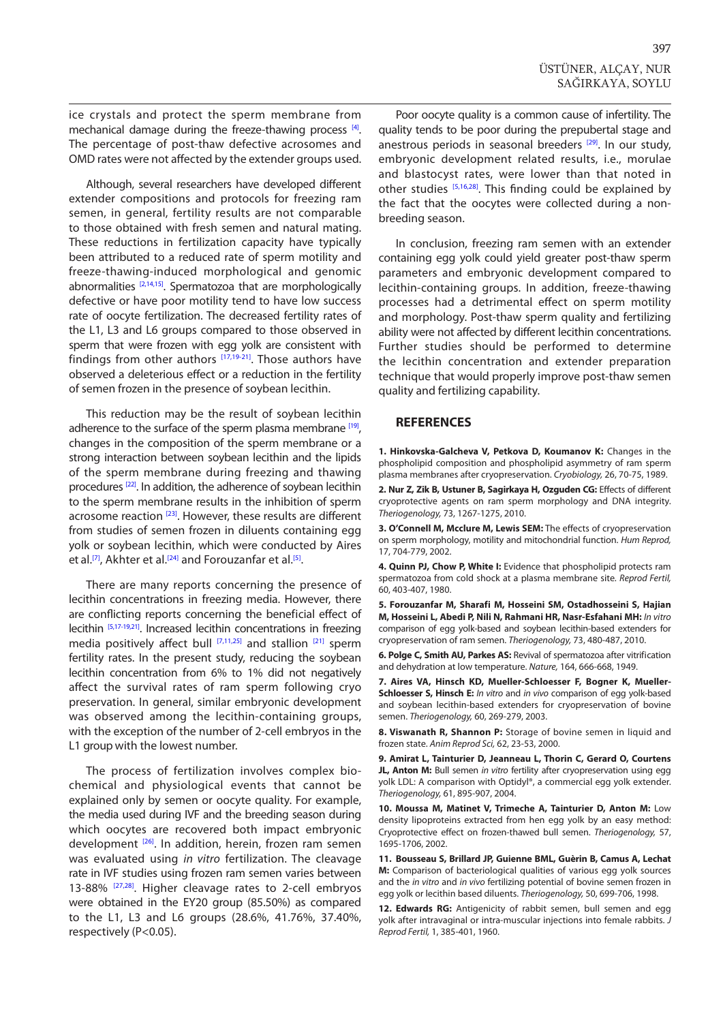<span id="page-4-0"></span>ice crystals and protect the sperm membrane from mechanical damage during the freeze-thawing process [4]. The percentage of post-thaw defective acrosomes and OMD rates were not affected by the extender groups used.

Although, several researchers have developed different extender compositions and protocols for freezing ram semen, in general, fertility results are not comparable to those obtained with fresh semen and natural mating. These reductions in fertilization capacity have typically been attributed to a reduced rate of sperm motility and freeze-thawing-induced morphological and genomic abnormalities  $[2,14,15]$ . Spermatozoa that are morphologically defective or have poor motility tend to have low success rate of oocyte fertilization. The decreased fertility rates of the L1, L3 and L6 groups compared to those observed in sperm that were frozen with egg yolk are consistent with findings from other authors [\[17,19-21\].](#page-5-0) Those authors have observed a deleterious effect or a reduction in the fertility of semen frozen in the presence of soybean lecithin.

This reduction may be the result of soybean lecithin adherence to the surface of the sperm plasma membrane [\[19\],](#page-5-0) changes in the composition of the sperm membrane or a strong interaction between soybean lecithin and the lipids of the sperm membrane during freezing and thawing procedures [\[22\].](#page-5-0) In addition, the adherence of soybean lecithin to the sperm membrane results in the inhibition of sperm acrosome reaction [\[23\].](#page-5-0) However, these results are different from studies of semen frozen in diluents containing egg yolk or soybean lecithin, which were conducted by Aires et al.<sup>[7]</sup>, Akhter et al.<sup>[[24\]](#page-5-0)</sup> and Forouzanfar et al.<sup>[5]</sup>.

There are many reports concerning the presence of lecithin concentrations in freezing media. However, there are conflicting reports concerning the beneficial effect of lecithin <sup>[5,17-19,21]</sup>. Increased lecithin concentrations in freezing media positively affect bull [7,11,[25\]](#page-5-0) and stallion [[21\]](#page-5-0) sperm fertility rates. In the present study, reducing the soybean lecithin concentration from 6% to 1% did not negatively affect the survival rates of ram sperm following cryo preservation. In general, similar embryonic development was observed among the lecithin-containing groups, with the exception of the number of 2-cell embryos in the L1 group with the lowest number.

The process of fertilization involves complex biochemical and physiological events that cannot be explained only by semen or oocyte quality. For example, the media used during IVF and the breeding season during which oocytes are recovered both impact embryonic development <sup>[26]</sup>. In addition, herein, frozen ram semen was evaluated using *in vitro* fertilization. The cleavage rate in IVF studies using frozen ram semen varies between 13-88% <sup>[27,28]</sup>. Higher cleavage rates to 2-cell embryos were obtained in the EY20 group (85.50%) as compared to the L1, L3 and L6 groups (28.6%, 41.76%, 37.40%, respectively (P<0.05).

Poor oocyte quality is a common cause of infertility. The quality tends to be poor during the prepubertal stage and anestrous periods in seasonal breeders<sup>[29]</sup>. In our study, embryonic development related results, i.e., morulae and blastocyst rates, were lower than that noted in other studies [5,[16,28\].](#page-5-0) This finding could be explained by the fact that the oocytes were collected during a nonbreeding season.

In conclusion, freezing ram semen with an extender containing egg yolk could yield greater post-thaw sperm parameters and embryonic development compared to lecithin-containing groups. In addition, freeze-thawing processes had a detrimental effect on sperm motility and morphology. Post-thaw sperm quality and fertilizing ability were not affected by different lecithin concentrations. Further studies should be performed to determine the lecithin concentration and extender preparation technique that would properly improve post-thaw semen quality and fertilizing capability.

#### **REFERENCES**

**1. Hinkovska-Galcheva V, Petkova D, Koumanov K:** Changes in the phospholipid composition and phospholipid asymmetry of ram sperm plasma membranes after cryopreservation. *Cryobiology,* 26, 70-75, 1989.

**2. Nur Z, Zik B, Ustuner B, Sagirkaya H, Ozguden CG:** Effects of different cryoprotective agents on ram sperm morphology and DNA integrity. *Theriogenology,* 73, 1267-1275, 2010.

**3. O'Connell M, Mcclure M, Lewis SEM:** The effects of cryopreservation on sperm morphology, motility and mitochondrial function. *Hum Reprod,*  17, 704-779, 2002.

**4. Quinn PJ, Chow P, White I:** Evidence that phospholipid protects ram spermatozoa from cold shock at a plasma membrane site. *Reprod Fertil,* 60, 403-407, 1980.

**5. Forouzanfar M, Sharafi M, Hosseini SM, Ostadhosseini S, Hajian M, Hosseini L, Abedi P, Nili N, Rahmani HR, Nasr-Esfahani MH:** *In vitro* comparison of egg yolk-based and soybean lecithin-based extenders for cryopreservation of ram semen. *Theriogenology,* 73, 480-487, 2010.

**6. Polge C, Smith AU, Parkes AS:** Revival of spermatozoa after vitrification and dehydration at low temperature. *Nature,* 164, 666-668, 1949.

**7. Aires VA, Hinsch KD, Mueller-Schloesser F, Bogner K, Mueller-Schloesser S, Hinsch E:** *In vitro* and *in vivo* comparison of egg yolk-based and soybean lecithin-based extenders for cryopreservation of bovine semen. *Theriogenology,* 60, 269-279, 2003.

**8. Viswanath R, Shannon P:** Storage of bovine semen in liquid and frozen state. *Anim Reprod Sci,* 62, 23-53, 2000.

**9. Amirat L, Tainturier D, Jeanneau L, Thorin C, Gerard O, Courtens JL, Anton M:** Bull semen *in vitro* fertility after cryopreservation using egg yolk LDL: A comparison with Optidyl®, a commercial egg yolk extender. *Theriogenology,* 61, 895-907, 2004.

**10. Moussa M, Matinet V, Trimeche A, Tainturier D, Anton M:** Low density lipoproteins extracted from hen egg yolk by an easy method: Cryoprotective effect on frozen-thawed bull semen. *Theriogenology,* 57, 1695-1706, 2002.

**11. Bousseau S, Brillard JP, Guienne BML, Guèrin B, Camus A, Lechat M:** Comparison of bacteriological qualities of various egg yolk sources and the *in vitro* and *in vivo* fertilizing potential of bovine semen frozen in egg yolk or lecithin based diluents. *Theriogenology,* 50, 699-706, 1998.

**12. Edwards RG:** Antigenicity of rabbit semen, bull semen and egg yolk after intravaginal or intra-muscular injections into female rabbits. *J Reprod Fertil,* 1, 385-401, 1960.